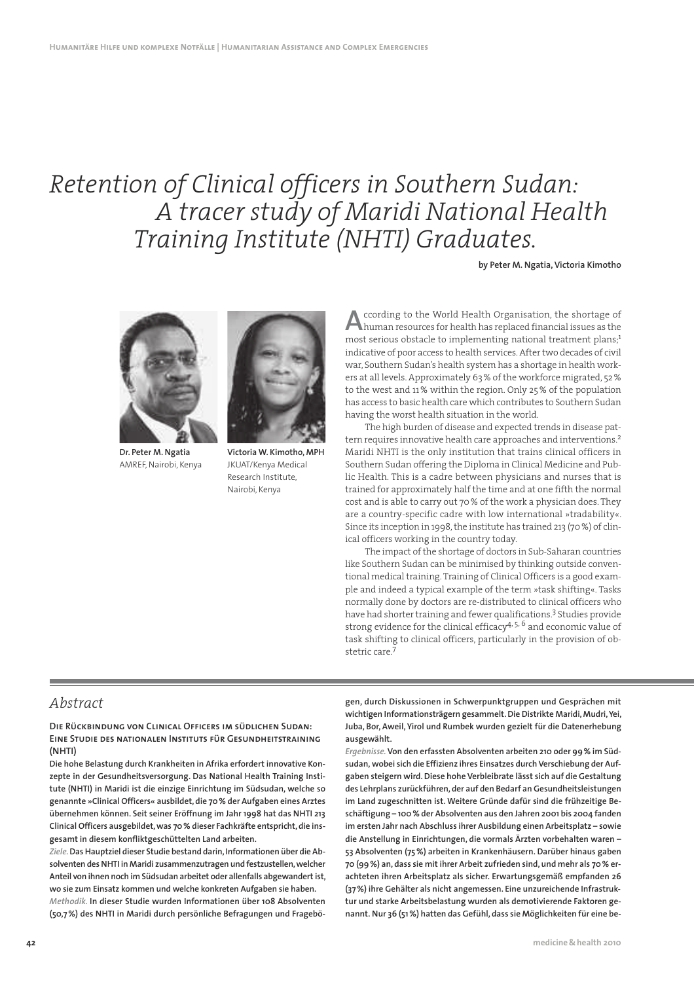# *Retention of Clinical officers in Southern Sudan: A tracer study of Maridi National Health Training Institute (NHTI) Graduates.*

**by Peter M. Ngatia, Victoria Kimotho**



**Dr. Peter M. Ngatia** AMREF, Nairobi, Kenya



**Victoria W. Kimotho, MPH** JKUAT/Kenya Medical Research Institute, Nairobi, Kenya

**A** ccording to the World Health Organisation, the shortage of human resources for health has replaced financial issues as the most serious obstacle to implementing national treatment plans;<sup>1</sup> ccording to the World Health Organisation, the shortage of human resources for health has replaced financial issues as the indicative of poor access to health services. After two decades of civil war, Southern Sudan's health system has a shortage in health workers at all levels. Approximately 63 % of the workforce migrated, 52 % to the west and 11 % within the region. Only 25 % of the population has access to basic health care which contributes to Southern Sudan having the worst health situation in the world.

The high burden of disease and expected trends in disease pattern requires innovative health care approaches and interventions.<sup>2</sup> Maridi NHTI is the only institution that trains clinical officers in Southern Sudan offering the Diploma in Clinical Medicine and Public Health. This is a cadre between physicians and nurses that is trained for approximately half the time and at one fifth the normal cost and is able to carry out 70 % of the work a physician does. They are a country-specific cadre with low international »tradability«. Since its inception in 1998, the institute has trained 213 (70 %) of clinical officers working in the country today.

The impact of the shortage of doctors in Sub-Saharan countries like Southern Sudan can be minimised by thinking outside conventional medical training. Training of Clinical Officers is a good example and indeed a typical example of the term »task shifting«. Tasks normally done by doctors are re-distributed to clinical officers who have had shorter training and fewer qualifications.<sup>3</sup> Studies provide strong evidence for the clinical efficacy4, 5, 6 and economic value of task shifting to clinical officers, particularly in the provision of obstetric care<sup>7</sup>

# *Abstract*

**Die Rückbindung von Clinical Officers im südlichen Sudan: Eine Studie des nationalen Instituts für Gesundheitstraining (NHTI)**

**Die hohe Belastung durch Krankheiten in Afrika erfordert innovative Konzepte in der Gesundheitsversorgung. Das National Health Training Institute (NHTI) in Maridi ist die einzige Einrichtung im Südsudan, welche so genannte »Clinical Officers« ausbildet, die 70 % der Aufgaben eines Arztes übernehmen können. Seit seiner Eröffnung im Jahr 1998 hat das NHTI 213 Clinical Officers ausgebildet, was 70 % dieser Fachkräfte entspricht, die insgesamt in diesem konfliktgeschüttelten Land arbeiten.** 

*Ziele.* **Das Hauptziel dieser Studie bestand darin, Informationen über die Absolventen des NHTI in Maridi zusammenzutragen und festzustellen, welcher Anteil von ihnen noch im Südsudan arbeitet oder allenfalls abgewandert ist, wo sie zum Einsatz kommen und welche konkreten Aufgaben sie haben.** *Methodik.* **In dieser Studie wurden Informationen über 108 Absolventen (50,7 %) des NHTI in Maridi durch persönliche Befragungen und Fragebö-** **gen, durch Diskussionen in Schwerpunktgruppen und Gesprächen mit wichtigen Informationsträgern gesammelt. Die Distrikte Maridi, Mudri, Yei, Juba, Bor, Aweil, Yirol und Rumbek wurden gezielt für die Datenerhebung ausgewählt.** 

*Ergebnisse.* **Von den erfassten Absolventen arbeiten 210 oder 99 % im Südsudan, wobei sich die Effizienz ihres Einsatzes durch Verschiebung der Aufgaben steigern wird. Diese hohe Verbleibrate lässt sich auf die Gestaltung des Lehrplans zurückführen, der auf den Bedarf an Gesundheitsleistungen im Land zugeschnitten ist. Weitere Gründe dafür sind die frühzeitige Beschäftigung – 100 % der Absolventen aus den Jahren 2001 bis 2004 fanden im ersten Jahr nach Abschluss ihrer Ausbildung einen Arbeitsplatz – sowie die Anstellung in Einrichtungen, die vormals Ärzten vorbehalten waren – 53 Absolventen (75 %) arbeiten in Krankenhäusern. Darüber hinaus gaben 70 (99 %) an, dass sie mit ihrer Arbeit zufrieden sind, und mehr als 70 % erachteten ihren Arbeitsplatz als sicher. Erwartungsgemäß empfanden 26 (37 %) ihre Gehälter als nicht angemessen. Eine unzureichende Infrastruktur und starke Arbeitsbelastung wurden als demotivierende Faktoren genannt. Nur 36 (51 %) hatten das Gefühl, dass sie Möglichkeiten für eine be-**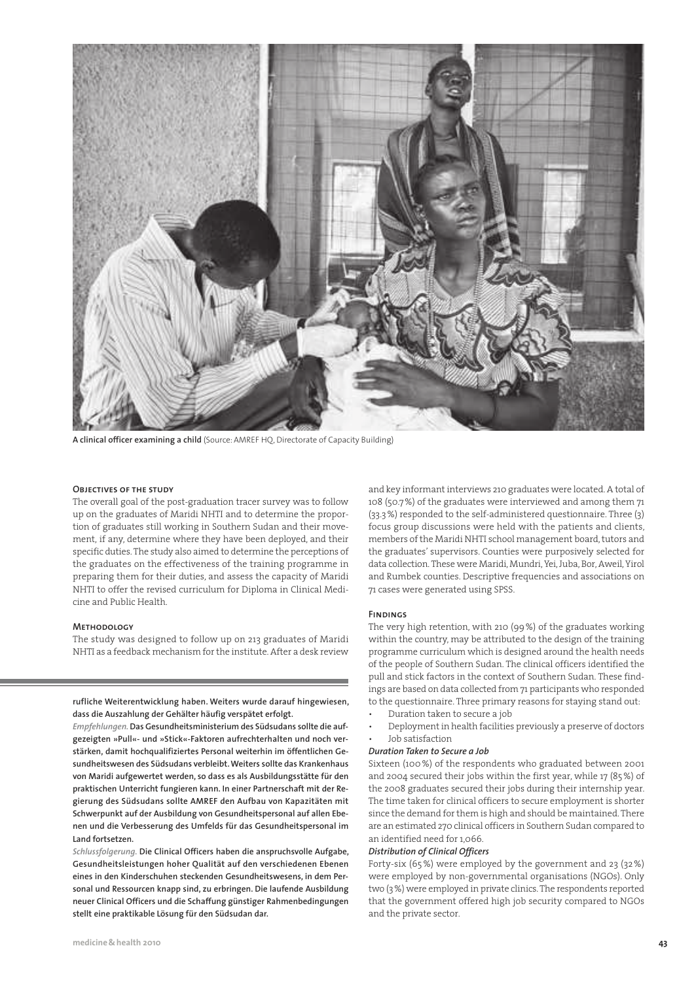

**A clinical officer examining a child** (Source: AMREF HQ, Directorate of Capacity Building)

#### **Objectives of the study**

The overall goal of the post-graduation tracer survey was to follow up on the graduates of Maridi NHTI and to determine the proportion of graduates still working in Southern Sudan and their movement, if any, determine where they have been deployed, and their specific duties. The study also aimed to determine the perceptions of the graduates on the effectiveness of the training programme in preparing them for their duties, and assess the capacity of Maridi NHTI to offer the revised curriculum for Diploma in Clinical Medicine and Public Health.

#### **Methodology**

The study was designed to follow up on 213 graduates of Maridi NHTI as a feedback mechanism for the institute. After a desk review

**rufliche Weiterentwicklung haben. Weiters wurde darauf hingewiesen, dass die Auszahlung der Gehälter häufig verspätet erfolgt.** 

*Empfehlungen.* **Das Gesundheitsministerium des Südsudans sollte die aufgezeigten »Pull«- und »Stick«-Faktoren aufrechterhalten und noch verstärken, damit hochqualifiziertes Personal weiterhin im öffentlichen Gesundheitswesen des Südsudans verbleibt. Weiters sollte das Krankenhaus von Maridi aufgewertet werden, so dass es als Ausbildungsstätte für den praktischen Unterricht fungieren kann. In einer Partnerschaft mit der Regierung des Südsudans sollte AMREF den Aufbau von Kapazitäten mit Schwerpunkt auf der Ausbildung von Gesundheitspersonal auf allen Ebenen und die Verbesserung des Umfelds für das Gesundheitspersonal im Land fortsetzen.**

*Schlussfolgerung.* **Die Clinical Officers haben die anspruchsvolle Aufgabe, Gesundheitsleistungen hoher Qualität auf den verschiedenen Ebenen eines in den Kinderschuhen steckenden Gesundheitswesens, in dem Personal und Ressourcen knapp sind, zu erbringen. Die laufende Ausbildung neuer Clinical Officers und die Schaffung günstiger Rahmenbedingungen stellt eine praktikable Lösung für den Südsudan dar.**

and key informant interviews 210 graduates were located. A total of 108 (50.7 %) of the graduates were interviewed and among them 71 (33.3 %) responded to the self-administered questionnaire. Three (3) focus group discussions were held with the patients and clients, members of the Maridi NHTI school management board, tutors and the graduates' supervisors. Counties were purposively selected for data collection. These were Maridi, Mundri, Yei, Juba, Bor, Aweil, Yirol and Rumbek counties. Descriptive frequencies and associations on 71 cases were generated using SPSS.

#### **Findings**

The very high retention, with 210 (99 %) of the graduates working within the country, may be attributed to the design of the training programme curriculum which is designed around the health needs of the people of Southern Sudan. The clinical officers identified the pull and stick factors in the context of Southern Sudan. These findings are based on data collected from 71 participants who responded to the questionnaire. Three primary reasons for staying stand out:

- Duration taken to secure a job
- Deployment in health facilities previously a preserve of doctors • Job satisfaction

#### *Duration Taken to Secure a Job*

Sixteen (100 %) of the respondents who graduated between 2001 and 2004 secured their jobs within the first year, while 17 (85 %) of the 2008 graduates secured their jobs during their internship year. The time taken for clinical officers to secure employment is shorter since the demand for them is high and should be maintained. There are an estimated 270 clinical officers in Southern Sudan compared to an identified need for 1,066.

#### *Distribution of Clinical Officers*

Forty-six (65 %) were employed by the government and 23 (32 %) were employed by non-governmental organisations (NGOs). Only two (3 %) were employed in private clinics. The respondents reported that the government offered high job security compared to NGOs and the private sector.